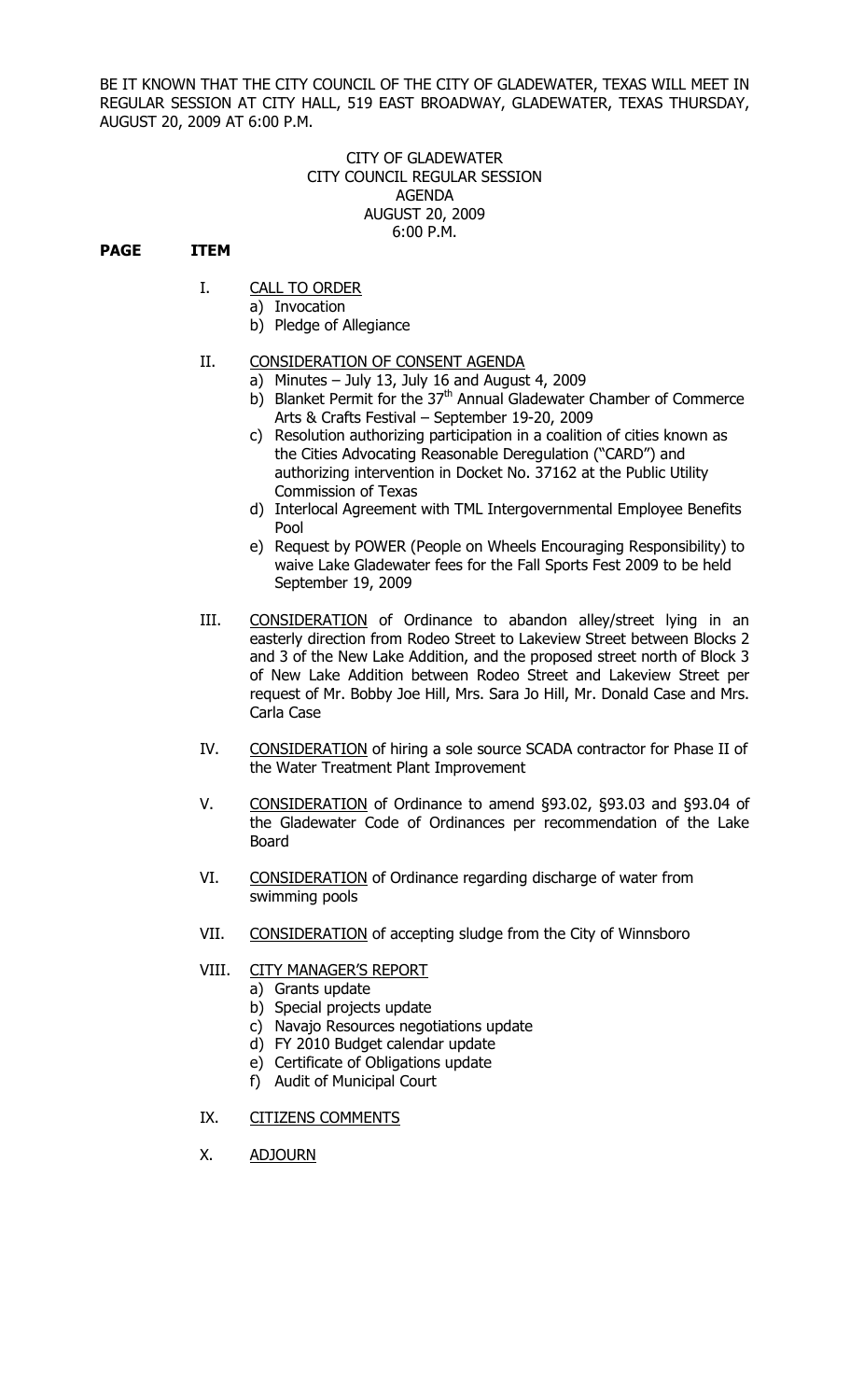BE IT KNOWN THAT THE CITY COUNCIL OF THE CITY OF GLADEWATER, TEXAS WILL MEET IN REGULAR SESSION AT CITY HALL, 519 EAST BROADWAY, GLADEWATER, TEXAS THURSDAY, AUGUST 20, 2009 AT 6:00 P.M.

## CITY OF GLADEWATER CITY COUNCIL REGULAR SESSION AGENDA AUGUST 20, 2009 6:00 P.M.

## **PAGE ITEM**

- I. CALL TO ORDER
	- a) Invocation
	- b) Pledge of Allegiance

# II. CONSIDERATION OF CONSENT AGENDA

- a) Minutes July 13, July 16 and August 4, 2009
- b) Blanket Permit for the 37<sup>th</sup> Annual Gladewater Chamber of Commerce Arts & Crafts Festival – September 19-20, 2009
- c) Resolution authorizing participation in a coalition of cities known as the Cities Advocating Reasonable Deregulation ("CARD") and authorizing intervention in Docket No. 37162 at the Public Utility Commission of Texas
- d) Interlocal Agreement with TML Intergovernmental Employee Benefits Pool
- e) Request by POWER (People on Wheels Encouraging Responsibility) to waive Lake Gladewater fees for the Fall Sports Fest 2009 to be held September 19, 2009
- III. CONSIDERATION of Ordinance to abandon alley/street lying in an easterly direction from Rodeo Street to Lakeview Street between Blocks 2 and 3 of the New Lake Addition, and the proposed street north of Block 3 of New Lake Addition between Rodeo Street and Lakeview Street per request of Mr. Bobby Joe Hill, Mrs. Sara Jo Hill, Mr. Donald Case and Mrs. Carla Case
- IV. CONSIDERATION of hiring a sole source SCADA contractor for Phase II of the Water Treatment Plant Improvement
- V. CONSIDERATION of Ordinance to amend §93.02, §93.03 and §93.04 of the Gladewater Code of Ordinances per recommendation of the Lake Board
- VI. CONSIDERATION of Ordinance regarding discharge of water from swimming pools
- VII. CONSIDERATION of accepting sludge from the City of Winnsboro

## VIII. CITY MANAGER'S REPORT

- a) Grants update
- b) Special projects update
- c) Navajo Resources negotiations update
- d) FY 2010 Budget calendar update
- e) Certificate of Obligations update
- f) Audit of Municipal Court

## IX. CITIZENS COMMENTS

X. ADJOURN